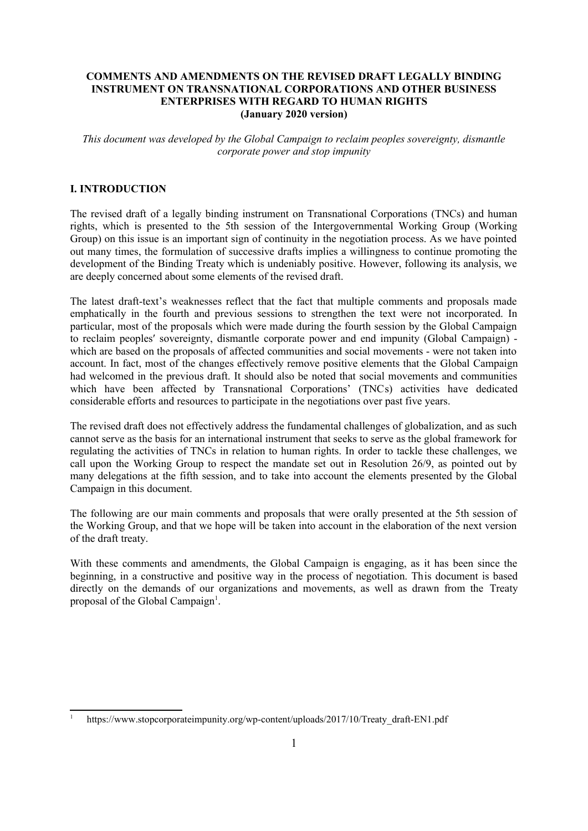## **COMMENTS AND AMENDMENTS ON THE REVISED DRAFT LEGALLY BINDING INSTRUMENT ON TRANSNATIONAL CORPORATIONS AND OTHER BUSINESS ENTERPRISES WITH REGARD TO HUMAN RIGHTS (January 2020 version)**

*This document was developed by the Global Campaign to reclaim peoples sovereignty, dismantle corporate power and stop impunity*

## **I. INTRODUCTION**

1

The revised draft of a legally binding instrument on Transnational Corporations (TNCs) and human rights, which is presented to the 5th session of the Intergovernmental Working Group (Working Group) on this issue is an important sign of continuity in the negotiation process. As we have pointed out many times, the formulation of successive drafts implies a willingness to continue promoting the development of the Binding Treaty which is undeniably positive. However, following its analysis, we are deeply concerned about some elements of the revised draft.

The latest draft-text's weaknesses reflect that the fact that multiple comments and proposals made emphatically in the fourth and previous sessions to strengthen the text were not incorporated. In particular, most of the proposals which were made during the fourth session by the Global Campaign to reclaim peoples′ sovereignty, dismantle corporate power and end impunity (Global Campaign) which are based on the proposals of affected communities and social movements - were not taken into account. In fact, most of the changes effectively remove positive elements that the Global Campaign had welcomed in the previous draft. It should also be noted that social movements and communities which have been affected by Transnational Corporations' (TNCs) activities have dedicated considerable efforts and resources to participate in the negotiations over past five years.

The revised draft does not effectively address the fundamental challenges of globalization, and as such cannot serve as the basis for an international instrument that seeks to serve as the global framework for regulating the activities of TNCs in relation to human rights. In order to tackle these challenges, we call upon the Working Group to respect the mandate set out in Resolution 26/9, as pointed out by many delegations at the fifth session, and to take into account the elements presented by the Global Campaign in this document.

The following are our main comments and proposals that were orally presented at the 5th session of the Working Group, and that we hope will be taken into account in the elaboration of the next version of the draft treaty.

With these comments and amendments, the Global Campaign is engaging, as it has been since the beginning, in a constructive and positive way in the process of negotiation. This document is based directly on the demands of our organizations and movements, as well as drawn from the Treaty proposal of the Global Campaign<sup>[1](#page-0-0)</sup>.

<span id="page-0-0"></span>https://www.stopcorporateimpunity.org/wp-content/uploads/2017/10/Treaty\_draft-EN1.pdf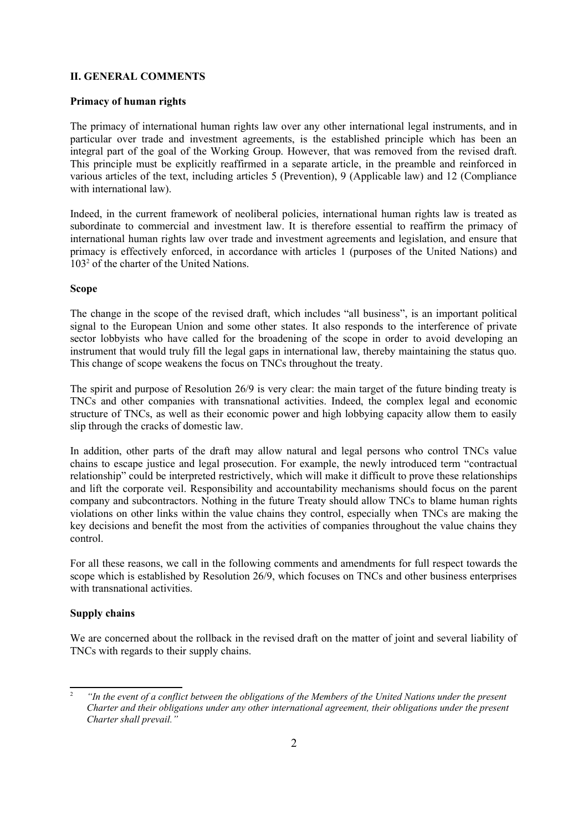### **II. GENERAL COMMENTS**

#### **Primacy of human rights**

The primacy of international human rights law over any other international legal instruments, and in particular over trade and investment agreements, is the established principle which has been an integral part of the goal of the Working Group. However, that was removed from the revised draft. This principle must be explicitly reaffirmed in a separate article, in the preamble and reinforced in various articles of the text, including articles 5 (Prevention), 9 (Applicable law) and 12 (Compliance with international law).

Indeed, in the current framework of neoliberal policies, international human rights law is treated as subordinate to commercial and investment law. It is therefore essential to reaffirm the primacy of international human rights law over trade and investment agreements and legislation, and ensure that primacy is effectively enforced, in accordance with articles 1 (purposes of the United Nations) and 103[2](#page-1-0) of the charter of the United Nations.

#### **Scope**

The change in the scope of the revised draft, which includes "all business", is an important political signal to the European Union and some other states. It also responds to the interference of private sector lobbyists who have called for the broadening of the scope in order to avoid developing an instrument that would truly fill the legal gaps in international law, thereby maintaining the status quo. This change of scope weakens the focus on TNCs throughout the treaty.

The spirit and purpose of Resolution 26/9 is very clear: the main target of the future binding treaty is TNCs and other companies with transnational activities. Indeed, the complex legal and economic structure of TNCs, as well as their economic power and high lobbying capacity allow them to easily slip through the cracks of domestic law.

In addition, other parts of the draft may allow natural and legal persons who control TNCs value chains to escape justice and legal prosecution. For example, the newly introduced term "contractual relationship" could be interpreted restrictively, which will make it difficult to prove these relationships and lift the corporate veil. Responsibility and accountability mechanisms should focus on the parent company and subcontractors. Nothing in the future Treaty should allow TNCs to blame human rights violations on other links within the value chains they control, especially when TNCs are making the key decisions and benefit the most from the activities of companies throughout the value chains they control.

For all these reasons, we call in the following comments and amendments for full respect towards the scope which is established by Resolution 26/9, which focuses on TNCs and other business enterprises with transnational activities.

### **Supply chains**

We are concerned about the rollback in the revised draft on the matter of joint and several liability of TNCs with regards to their supply chains.

<span id="page-1-0"></span><sup>2</sup> *"In the event of a conflict between the obligations of the Members of the United Nations under the present Charter and their obligations under any other international agreement, their obligations under the present Charter shall prevail."*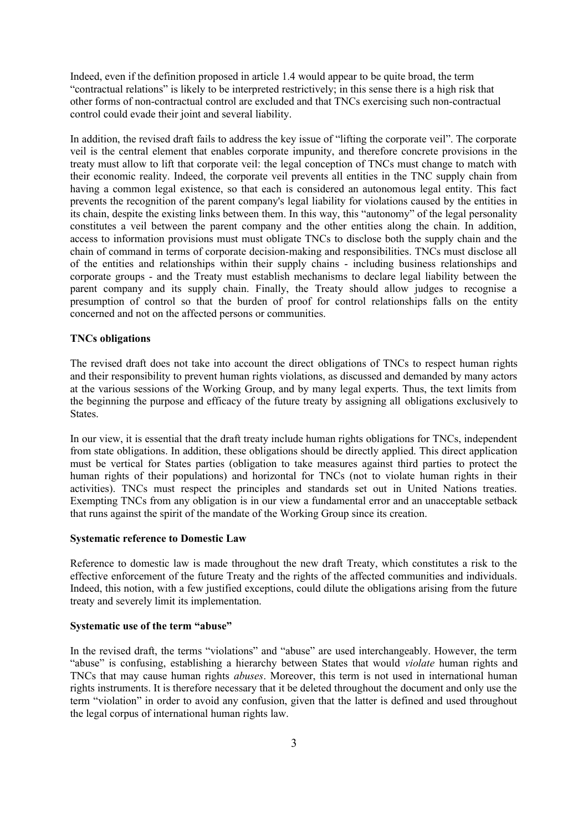Indeed, even if the definition proposed in article 1.4 would appear to be quite broad, the term "contractual relations" is likely to be interpreted restrictively; in this sense there is a high risk that other forms of non-contractual control are excluded and that TNCs exercising such non-contractual control could evade their joint and several liability.

In addition, the revised draft fails to address the key issue of "lifting the corporate veil". The corporate veil is the central element that enables corporate impunity, and therefore concrete provisions in the treaty must allow to lift that corporate veil: the legal conception of TNCs must change to match with their economic reality. Indeed, the corporate veil prevents all entities in the TNC supply chain from having a common legal existence, so that each is considered an autonomous legal entity. This fact prevents the recognition of the parent company's legal liability for violations caused by the entities in its chain, despite the existing links between them. In this way, this "autonomy" of the legal personality constitutes a veil between the parent company and the other entities along the chain. In addition, access to information provisions must must obligate TNCs to disclose both the supply chain and the chain of command in terms of corporate decision-making and responsibilities. TNCs must disclose all of the entities and relationships within their supply chains - including business relationships and corporate groups - and the Treaty must establish mechanisms to declare legal liability between the parent company and its supply chain. Finally, the Treaty should allow judges to recognise a presumption of control so that the burden of proof for control relationships falls on the entity concerned and not on the affected persons or communities.

#### **TNCs obligations**

The revised draft does not take into account the direct obligations of TNCs to respect human rights and their responsibility to prevent human rights violations, as discussed and demanded by many actors at the various sessions of the Working Group, and by many legal experts. Thus, the text limits from the beginning the purpose and efficacy of the future treaty by assigning all obligations exclusively to States.

In our view, it is essential that the draft treaty include human rights obligations for TNCs, independent from state obligations. In addition, these obligations should be directly applied. This direct application must be vertical for States parties (obligation to take measures against third parties to protect the human rights of their populations) and horizontal for TNCs (not to violate human rights in their activities). TNCs must respect the principles and standards set out in United Nations treaties. Exempting TNCs from any obligation is in our view a fundamental error and an unacceptable setback that runs against the spirit of the mandate of the Working Group since its creation.

# **Systematic reference to Domestic Law**

Reference to domestic law is made throughout the new draft Treaty, which constitutes a risk to the effective enforcement of the future Treaty and the rights of the affected communities and individuals. Indeed, this notion, with a few justified exceptions, could dilute the obligations arising from the future treaty and severely limit its implementation.

#### **Systematic use of the term "abuse"**

In the revised draft, the terms "violations" and "abuse" are used interchangeably. However, the term "abuse" is confusing, establishing a hierarchy between States that would *violate* human rights and TNCs that may cause human rights *abuses*. Moreover, this term is not used in international human rights instruments. It is therefore necessary that it be deleted throughout the document and only use the term "violation" in order to avoid any confusion, given that the latter is defined and used throughout the legal corpus of international human rights law.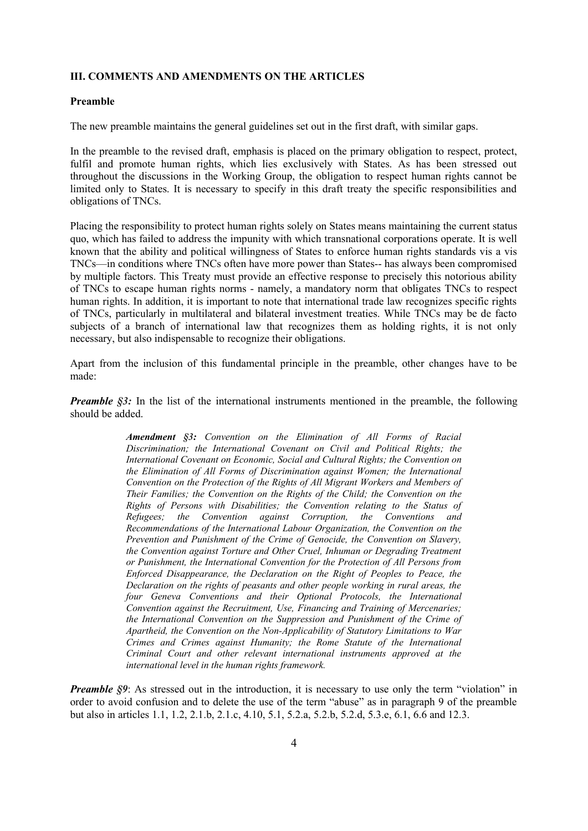#### **III. COMMENTS AND AMENDMENTS ON THE ARTICLES**

## **Preamble**

The new preamble maintains the general guidelines set out in the first draft, with similar gaps.

In the preamble to the revised draft, emphasis is placed on the primary obligation to respect, protect, fulfil and promote human rights, which lies exclusively with States. As has been stressed out throughout the discussions in the Working Group, the obligation to respect human rights cannot be limited only to States. It is necessary to specify in this draft treaty the specific responsibilities and obligations of TNCs.

Placing the responsibility to protect human rights solely on States means maintaining the current status quo, which has failed to address the impunity with which transnational corporations operate. It is well known that the ability and political willingness of States to enforce human rights standards vis a vis TNCs—in conditions where TNCs often have more power than States-- has always been compromised by multiple factors. This Treaty must provide an effective response to precisely this notorious ability of TNCs to escape human rights norms - namely, a mandatory norm that obligates TNCs to respect human rights. In addition, it is important to note that international trade law recognizes specific rights of TNCs, particularly in multilateral and bilateral investment treaties. While TNCs may be de facto subjects of a branch of international law that recognizes them as holding rights, it is not only necessary, but also indispensable to recognize their obligations.

Apart from the inclusion of this fundamental principle in the preamble, other changes have to be made:

*Preamble §3:* In the list of the international instruments mentioned in the preamble, the following should be added.

> *Amendment §3: Convention on the Elimination of All Forms of Racial Discrimination; the International Covenant on Civil and Political Rights; the International Covenant on Economic, Social and Cultural Rights; the Convention on the Elimination of All Forms of Discrimination against Women; the International Convention on the Protection of the Rights of All Migrant Workers and Members of Their Families; the Convention on the Rights of the Child; the Convention on the Rights of Persons with Disabilities; the Convention relating to the Status of Refugees; the Convention against Corruption, the Conventions and Recommendations of the International Labour Organization, the Convention on the Prevention and Punishment of the Crime of Genocide, the Convention on Slavery, the Convention against Torture and Other Cruel, Inhuman or Degrading Treatment or Punishment, the International Convention for the Protection of All Persons from Enforced Disappearance, the Declaration on the Right of Peoples to Peace, the Declaration on the rights of peasants and other people working in rural areas, the four Geneva Conventions and their Optional Protocols, the International Convention against the Recruitment, Use, Financing and Training of Mercenaries; the International Convention on the Suppression and Punishment of the Crime of Apartheid, the Convention on the Non-Applicability of Statutory Limitations to War Crimes and Crimes against Humanity; the Rome Statute of the International Criminal Court and other relevant international instruments approved at the international level in the human rights framework.*

*Preamble §9:* As stressed out in the introduction, it is necessary to use only the term "violation" in order to avoid confusion and to delete the use of the term "abuse" as in paragraph 9 of the preamble but also in articles 1.1, 1.2, 2.1.b, 2.1.c, 4.10, 5.1, 5.2.a, 5.2.b, 5.2.d, 5.3.e, 6.1, 6.6 and 12.3.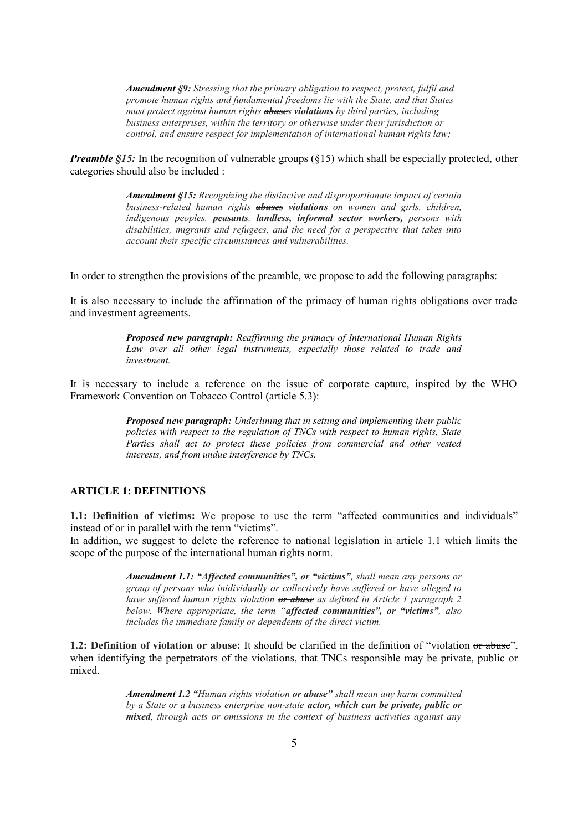*Amendment §9: Stressing that the primary obligation to respect, protect, fulfil and promote human rights and fundamental freedoms lie with the State, and that States must protect against human rights abuses violations by third parties, including business enterprises, within the territory or otherwise under their jurisdiction or control, and ensure respect for implementation of international human rights law;*

*Preamble §15:* In the recognition of vulnerable groups (§15) which shall be especially protected, other categories should also be included :

> *Amendment §15: Recognizing the distinctive and disproportionate impact of certain business-related human rights abuses violations on women and girls, children, indigenous peoples, peasants, landless, informal sector workers, persons with disabilities, migrants and refugees, and the need for a perspective that takes into account their specific circumstances and vulnerabilities.*

In order to strengthen the provisions of the preamble, we propose to add the following paragraphs:

It is also necessary to include the affirmation of the primacy of human rights obligations over trade and investment agreements.

> *Proposed new paragraph: Reaffirming the primacy of International Human Rights Law over all other legal instruments, especially those related to trade and investment.*

It is necessary to include a reference on the issue of corporate capture, inspired by the WHO Framework Convention on Tobacco Control (article 5.3):

> *Proposed new paragraph: Underlining that in setting and implementing their public policies with respect to the regulation of TNCs with respect to human rights, State Parties shall act to protect these policies from commercial and other vested interests, and from undue interference by TNCs.*

## **ARTICLE 1: DEFINITIONS**

**1.1: Definition of victims:** We propose to use the term "affected communities and individuals" instead of or in parallel with the term "victims".

In addition, we suggest to delete the reference to national legislation in article 1.1 which limits the scope of the purpose of the international human rights norm.

> *Amendment 1.1: "Affected communities", or "victims", shall mean any persons or group of persons who inidividually or collectively have suffered or have alleged to have suffered human rights violation or abuse as defined in Article 1 paragraph 2 below. Where appropriate, the term "affected communities", or "victims", also includes the immediate family or dependents of the direct victim.*

**1.2: Definition of violation or abuse:** It should be clarified in the definition of "violation or abuse", when identifying the perpetrators of the violations, that TNCs responsible may be private, public or mixed.

> *Amendment 1.2 "Human rights violation or abuse" shall mean any harm committed by a State or a business enterprise non-state actor, which can be private, public or mixed, through acts or omissions in the context of business activities against any*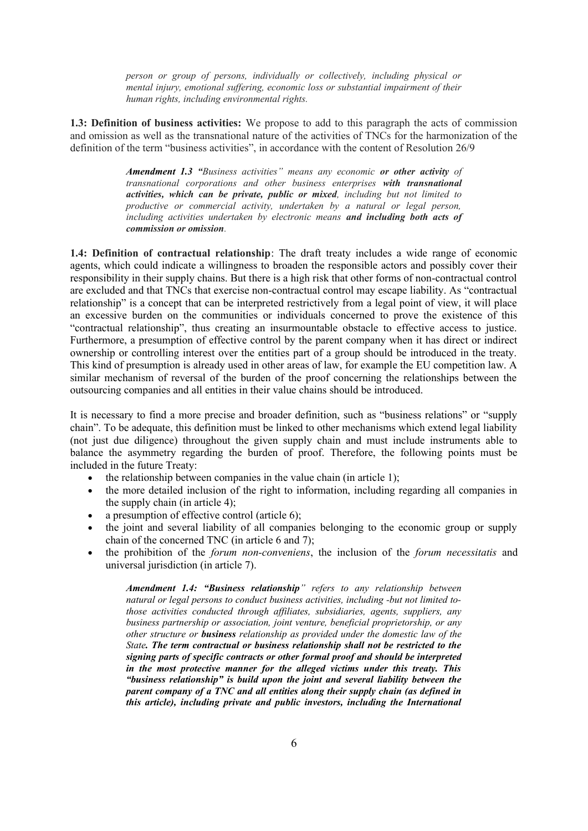*person or group of persons, individually or collectively, including physical or mental injury, emotional suffering, economic loss or substantial impairment of their human rights, including environmental rights.*

**1.3: Definition of business activities:** We propose to add to this paragraph the acts of commission and omission as well as the transnational nature of the activities of TNCs for the harmonization of the definition of the term "business activities", in accordance with the content of Resolution 26/9

> *Amendment 1.3 "Business activities" means any economic or other activity of transnational corporations and other business enterprises with transnational activities, which can be private, public or mixed, including but not limited to productive or commercial activity, undertaken by a natural or legal person, including activities undertaken by electronic means and including both acts of commission or omission.*

**1.4: Definition of contractual relationship**: The draft treaty includes a wide range of economic agents, which could indicate a willingness to broaden the responsible actors and possibly cover their responsibility in their supply chains. But there is a high risk that other forms of non-contractual control are excluded and that TNCs that exercise non-contractual control may escape liability. As "contractual relationship" is a concept that can be interpreted restrictively from a legal point of view, it will place an excessive burden on the communities or individuals concerned to prove the existence of this "contractual relationship", thus creating an insurmountable obstacle to effective access to justice. Furthermore, a presumption of effective control by the parent company when it has direct or indirect ownership or controlling interest over the entities part of a group should be introduced in the treaty. This kind of presumption is already used in other areas of law, for example the EU competition law. A similar mechanism of reversal of the burden of the proof concerning the relationships between the outsourcing companies and all entities in their value chains should be introduced.

It is necessary to find a more precise and broader definition, such as "business relations" or "supply chain". To be adequate, this definition must be linked to other mechanisms which extend legal liability (not just due diligence) throughout the given supply chain and must include instruments able to balance the asymmetry regarding the burden of proof. Therefore, the following points must be included in the future Treaty:

- $\bullet$  the relationship between companies in the value chain (in article 1);
- the more detailed inclusion of the right to information, including regarding all companies in the supply chain (in article 4);
- a presumption of effective control (article 6);
- the joint and several liability of all companies belonging to the economic group or supply chain of the concerned TNC (in article 6 and 7);
- the prohibition of the *forum non-conveniens*, the inclusion of the *forum necessitatis* and universal jurisdiction (in article 7).

*Amendment 1.4: "Business relationship" refers to any relationship between natural or legal persons to conduct business activities, including -but not limited tothose activities conducted through affiliates, subsidiaries, agents, suppliers, any business partnership or association, joint venture, beneficial proprietorship, or any other structure or business relationship as provided under the domestic law of the State. The term contractual or business relationship shall not be restricted to the signing parts of specific contracts or other formal proof and should be interpreted in the most protective manner for the alleged victims under this treaty. This "business relationship" is build upon the joint and several liability between the parent company of a TNC and all entities along their supply chain (as defined in this article), including private and public investors, including the International*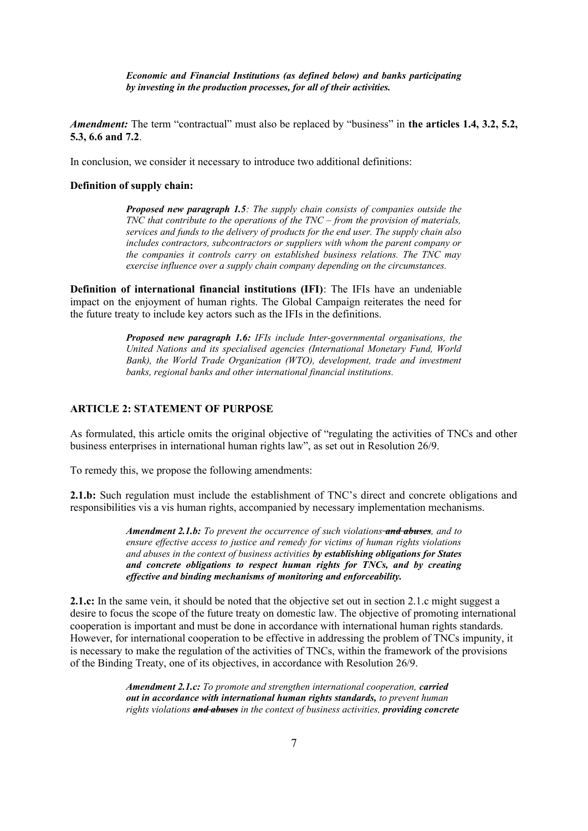*Economic and Financial Institutions (as defined below) and banks participating by investing in the production processes, for all of their activities.*

*Amendment:* The term "contractual" must also be replaced by "business" in **the articles 1.4, 3.2, 5.2, 5.3, 6.6 and 7.2**.

In conclusion, we consider it necessary to introduce two additional definitions:

#### **Definition of supply chain:**

*Proposed new paragraph 1.5: The supply chain consists of companies outside the TNC that contribute to the operations of the TNC – from the provision of materials, services and funds to the delivery of products for the end user. The supply chain also includes contractors, subcontractors or suppliers with whom the parent company or the companies it controls carry on established business relations. The TNC may exercise influence over a supply chain company depending on the circumstances.*

**Definition of international financial institutions (IFI)**: The IFIs have an undeniable impact on the enjoyment of human rights. The Global Campaign reiterates the need for the future treaty to include key actors such as the IFIs in the definitions.

> *Proposed new paragraph 1.6: IFIs include Inter-governmental organisations, the United Nations and its specialised agencies (International Monetary Fund, World Bank), the World Trade Organization (WTO), development, trade and investment banks, regional banks and other international financial institutions.*

### **ARTICLE 2: STATEMENT OF PURPOSE**

As formulated, this article omits the original objective of "regulating the activities of TNCs and other business enterprises in international human rights law", as set out in Resolution 26/9.

To remedy this, we propose the following amendments:

**2.1.b:** Such regulation must include the establishment of TNC's direct and concrete obligations and responsibilities vis a vis human rights, accompanied by necessary implementation mechanisms.

> *Amendment 2.1.b: To prevent the occurrence of such violations and abuses, and to ensure effective access to justice and remedy for victims of human rights violations and abuses in the context of business activities by establishing obligations for States and concrete obligations to respect human rights for TNCs, and by creating effective and binding mechanisms of monitoring and enforceability.*

**2.1.c:** In the same vein, it should be noted that the objective set out in section 2.1.c might suggest a desire to focus the scope of the future treaty on domestic law. The objective of promoting international cooperation is important and must be done in accordance with international human rights standards. However, for international cooperation to be effective in addressing the problem of TNCs impunity, it is necessary to make the regulation of the activities of TNCs, within the framework of the provisions of the Binding Treaty, one of its objectives, in accordance with Resolution 26/9.

> *Amendment 2.1.c: To promote and strengthen international cooperation, carried out in accordance with international human rights standards, to prevent human rights violations and abuses in the context of business activities, providing concrete*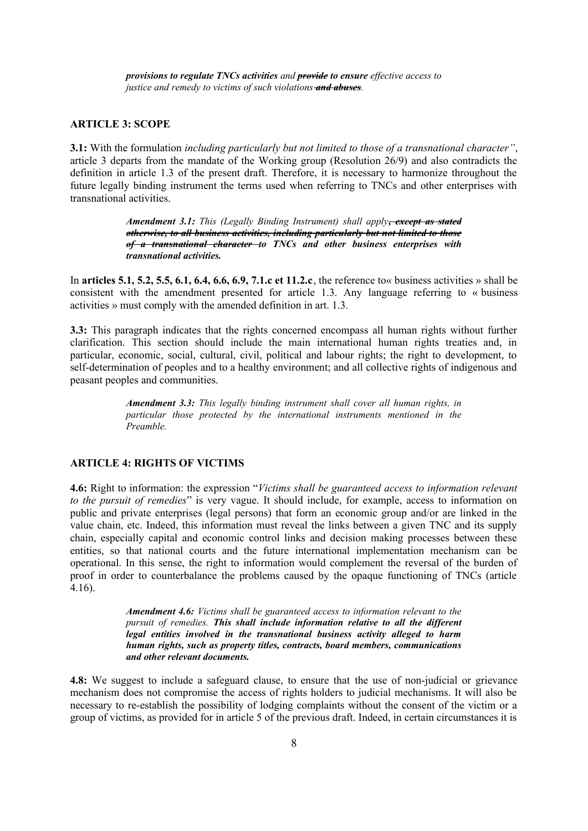*provisions to regulate TNCs activities and provide to ensure effective access to justice and remedy to victims of such violations-and abuses.* 

### **ARTICLE 3: SCOPE**

**3.1:** With the formulation *including particularly but not limited to those of a transnational character"*, article 3 departs from the mandate of the Working group (Resolution 26/9) and also contradicts the definition in article 1.3 of the present draft. Therefore, it is necessary to harmonize throughout the future legally binding instrument the terms used when referring to TNCs and other enterprises with transnational activities.

> *Amendment 3.1: This (Legally Binding Instrument) shall apply, except as stated otherwise, to all business activities, including particularly but not limited to those of a transnational character to TNCs and other business enterprises with transnational activities.*

In **articles 5.1, 5.2, 5.5, 6.1, 6.4, 6.6, 6.9, 7.1.c et 11.2.c**, the reference to« business activities » shall be consistent with the amendment presented for article 1.3. Any language referring to « business activities » must comply with the amended definition in art. 1.3.

**3.3:** This paragraph indicates that the rights concerned encompass all human rights without further clarification. This section should include the main international human rights treaties and, in particular, economic, social, cultural, civil, political and labour rights; the right to development, to self-determination of peoples and to a healthy environment; and all collective rights of indigenous and peasant peoples and communities.

> *Amendment 3.3: This legally binding instrument shall cover all human rights, in particular those protected by the international instruments mentioned in the Preamble.*

## **ARTICLE 4: RIGHTS OF VICTIMS**

**4.6:** Right to information: the expression "*Victims shall be guaranteed access to information relevant to the pursuit of remedies*" is very vague. It should include, for example, access to information on public and private enterprises (legal persons) that form an economic group and/or are linked in the value chain, etc. Indeed, this information must reveal the links between a given TNC and its supply chain, especially capital and economic control links and decision making processes between these entities, so that national courts and the future international implementation mechanism can be operational. In this sense, the right to information would complement the reversal of the burden of proof in order to counterbalance the problems caused by the opaque functioning of TNCs (article  $4.16$ ).

> *Amendment 4.6: Victims shall be guaranteed access to information relevant to the pursuit of remedies. This shall include information relative to all the different legal entities involved in the transnational business activity alleged to harm human rights, such as property titles, contracts, board members, communications and other relevant documents.*

**4.8:** We suggest to include a safeguard clause, to ensure that the use of non-judicial or grievance mechanism does not compromise the access of rights holders to judicial mechanisms. It will also be necessary to re-establish the possibility of lodging complaints without the consent of the victim or a group of victims, as provided for in article 5 of the previous draft. Indeed, in certain circumstances it is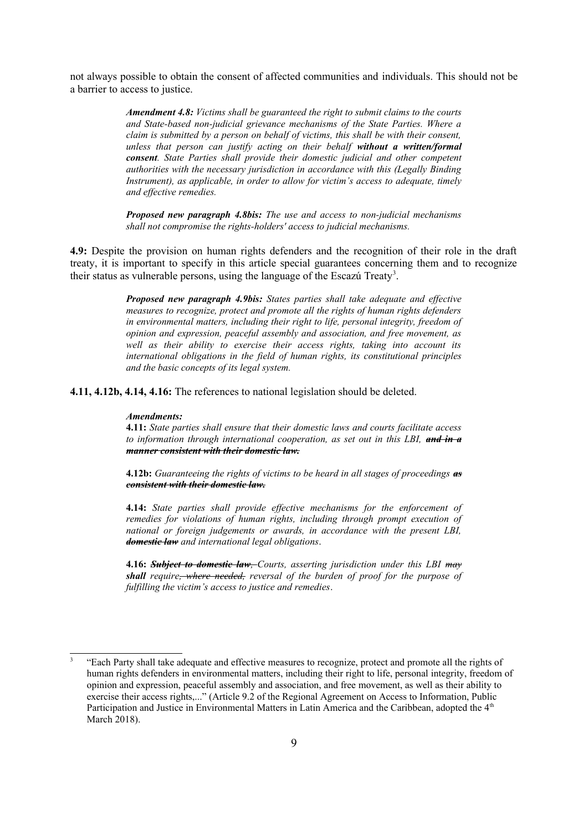not always possible to obtain the consent of affected communities and individuals. This should not be a barrier to access to justice.

> *Amendment 4.8: Victims shall be guaranteed the right to submit claims to the courts and State-based non-judicial grievance mechanisms of the State Parties. Where a claim is submitted by a person on behalf of victims, this shall be with their consent, unless that person can justify acting on their behalf without a written/formal consent. State Parties shall provide their domestic judicial and other competent authorities with the necessary jurisdiction in accordance with this (Legally Binding Instrument), as applicable, in order to allow for victim's access to adequate, timely and effective remedies.*

> *Proposed new paragraph 4.8bis: The use and access to non-judicial mechanisms shall not compromise the rights-holders' access to judicial mechanisms.*

**4.9:** Despite the provision on human rights defenders and the recognition of their role in the draft treaty, it is important to specify in this article special guarantees concerning them and to recognize their status as vulnerable persons, using the language of the Escazú Treaty<sup>[3](#page-8-0)</sup>.

> *Proposed new paragraph 4.9bis: States parties shall take adequate and effective measures to recognize, protect and promote all the rights of human rights defenders in environmental matters, including their right to life, personal integrity, freedom of opinion and expression, peaceful assembly and association, and free movement, as well as their ability to exercise their access rights, taking into account its international obligations in the field of human rights, its constitutional principles and the basic concepts of its legal system.*

**4.11, 4.12b, 4.14, 4.16:** The references to national legislation should be deleted.

#### *Amendments:*

**4.11:** *State parties shall ensure that their domestic laws and courts facilitate access to information through international cooperation, as set out in this LBI, and in a manner consistent with their domestic law.*

**4.12b:** *Guaranteeing the rights of victims to be heard in all stages of proceedings as consistent with their domestic law.*

**4.14:** *State parties shall provide effective mechanisms for the enforcement of remedies for violations of human rights, including through prompt execution of national or foreign judgements or awards, in accordance with the present LBI, domestic law and international legal obligations*.

**4.16:** *Subject to domestic law, Courts, asserting jurisdiction under this LBI may shall require, where needed, reversal of the burden of proof for the purpose of fulfilling the victim's access to justice and remedies*.

<span id="page-8-0"></span><sup>3</sup> "Each Party shall take adequate and effective measures to recognize, protect and promote all the rights of human rights defenders in environmental matters, including their right to life, personal integrity, freedom of opinion and expression, peaceful assembly and association, and free movement, as well as their ability to exercise their access rights,..." (Article 9.2 of the Regional Agreement on Access to Information, Public Participation and Justice in Environmental Matters in Latin America and the Caribbean, adopted the 4<sup>th</sup> March 2018).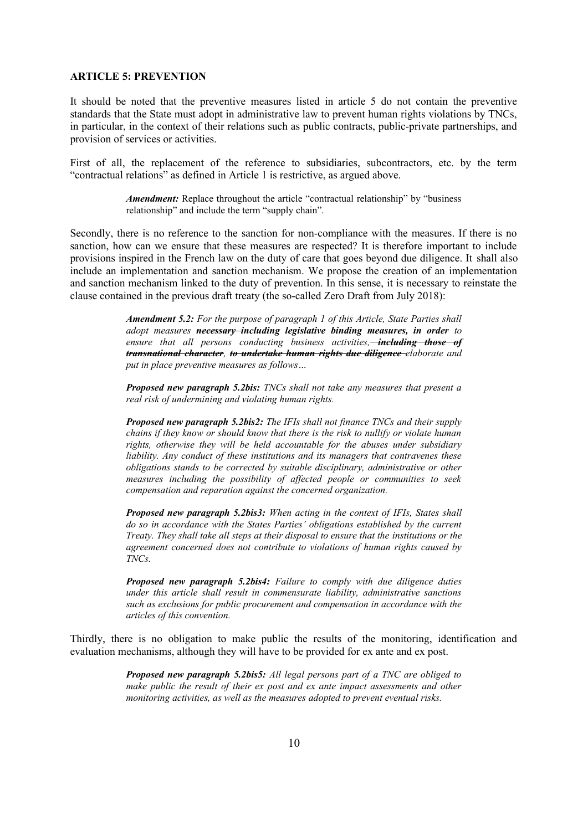## **ARTICLE 5: PREVENTION**

It should be noted that the preventive measures listed in article 5 do not contain the preventive standards that the State must adopt in administrative law to prevent human rights violations by TNCs, in particular, in the context of their relations such as public contracts, public-private partnerships, and provision of services or activities.

First of all, the replacement of the reference to subsidiaries, subcontractors, etc. by the term "contractual relations" as defined in Article 1 is restrictive, as argued above.

> *Amendment:* Replace throughout the article "contractual relationship" by "business" relationship" and include the term "supply chain".

Secondly, there is no reference to the sanction for non-compliance with the measures. If there is no sanction, how can we ensure that these measures are respected? It is therefore important to include provisions inspired in the French law on the duty of care that goes beyond due diligence. It shall also include an implementation and sanction mechanism. We propose the creation of an implementation and sanction mechanism linked to the duty of prevention. In this sense, it is necessary to reinstate the clause contained in the previous draft treaty (the so-called Zero Draft from July 2018):

> *Amendment 5.2: For the purpose of paragraph 1 of this Article, State Parties shall adopt measures necessary including legislative binding measures, in order to ensure that all persons conducting business activities, including those of transnational character, to undertake human rights due diligence elaborate and put in place preventive measures as follows…*

> *Proposed new paragraph 5.2bis: TNCs shall not take any measures that present a real risk of undermining and violating human rights.*

> *Proposed new paragraph 5.2bis2: The IFIs shall not finance TNCs and their supply chains if they know or should know that there is the risk to nullify or violate human rights, otherwise they will be held accountable for the abuses under subsidiary liability. Any conduct of these institutions and its managers that contravenes these obligations stands to be corrected by suitable disciplinary, administrative or other measures including the possibility of affected people or communities to seek compensation and reparation against the concerned organization.*

> *Proposed new paragraph 5.2bis3: When acting in the context of IFIs, States shall do so in accordance with the States Parties' obligations established by the current Treaty. They shall take all steps at their disposal to ensure that the institutions or the agreement concerned does not contribute to violations of human rights caused by TNCs.*

> *Proposed new paragraph 5.2bis4: Failure to comply with due diligence duties under this article shall result in commensurate liability, administrative sanctions such as exclusions for public procurement and compensation in accordance with the articles of this convention.*

Thirdly, there is no obligation to make public the results of the monitoring, identification and evaluation mechanisms, although they will have to be provided for ex ante and ex post.

> *Proposed new paragraph 5.2bis5: All legal persons part of a TNC are obliged to make public the result of their ex post and ex ante impact assessments and other monitoring activities, as well as the measures adopted to prevent eventual risks.*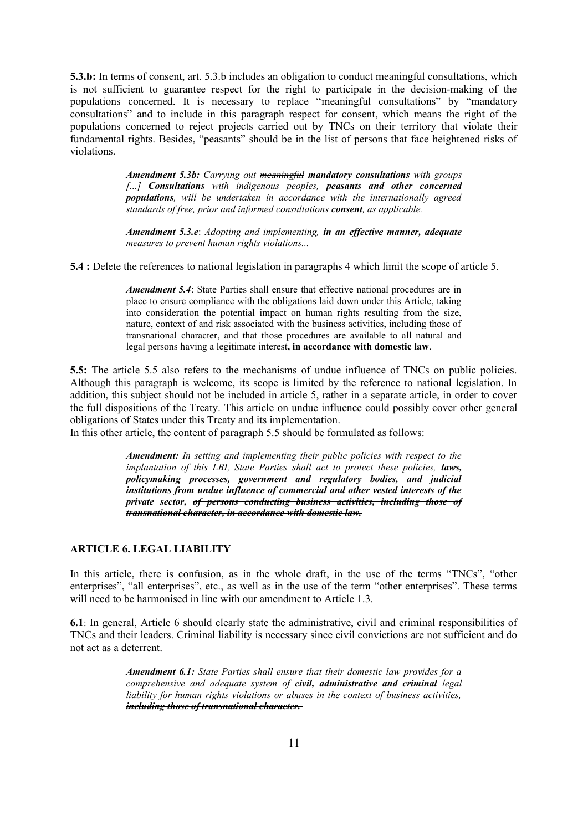**5.3.b:** In terms of consent, art. 5.3.b includes an obligation to conduct meaningful consultations, which is not sufficient to guarantee respect for the right to participate in the decision-making of the populations concerned. It is necessary to replace "meaningful consultations" by "mandatory consultations" and to include in this paragraph respect for consent, which means the right of the populations concerned to reject projects carried out by TNCs on their territory that violate their fundamental rights. Besides, "peasants" should be in the list of persons that face heightened risks of violations.

> *Amendment 5.3b: Carrying out meaningful mandatory consultations with groups [...] Consultations with indigenous peoples, peasants and other concerned populations, will be undertaken in accordance with the internationally agreed standards of free, prior and informed consultations consent, as applicable.*

> *Amendment 5.3.e*: *Adopting and implementing, in an effective manner, adequate measures to prevent human rights violations...*

**5.4 :** Delete the references to national legislation in paragraphs 4 which limit the scope of article 5.

*Amendment 5.4*: State Parties shall ensure that effective national procedures are in place to ensure compliance with the obligations laid down under this Article, taking into consideration the potential impact on human rights resulting from the size, nature, context of and risk associated with the business activities, including those of transnational character, and that those procedures are available to all natural and legal persons having a legitimate interest**, in accordance with domestic law**.

**5.5:** The article 5.5 also refers to the mechanisms of undue influence of TNCs on public policies. Although this paragraph is welcome, its scope is limited by the reference to national legislation. In addition, this subject should not be included in article 5, rather in a separate article, in order to cover the full dispositions of the Treaty. This article on undue influence could possibly cover other general obligations of States under this Treaty and its implementation.

In this other article, the content of paragraph 5.5 should be formulated as follows:

*Amendment: In setting and implementing their public policies with respect to the implantation of this LBI, State Parties shall act to protect these policies, laws, policymaking processes, government and regulatory bodies, and judicial institutions from undue influence of commercial and other vested interests of the private sector, of persons conducting business activities, including those of transnational character, in accordance with domestic law.*

## **ARTICLE 6. LEGAL LIABILITY**

In this article, there is confusion, as in the whole draft, in the use of the terms "TNCs", "other enterprises", "all enterprises", etc., as well as in the use of the term "other enterprises". These terms will need to be harmonised in line with our amendment to Article 1.3.

**6.1**: In general, Article 6 should clearly state the administrative, civil and criminal responsibilities of TNCs and their leaders. Criminal liability is necessary since civil convictions are not sufficient and do not act as a deterrent.

> *Amendment 6.1: State Parties shall ensure that their domestic law provides for a comprehensive and adequate system of civil, administrative and criminal legal liability for human rights violations or abuses in the context of business activities, including those of transnational character.*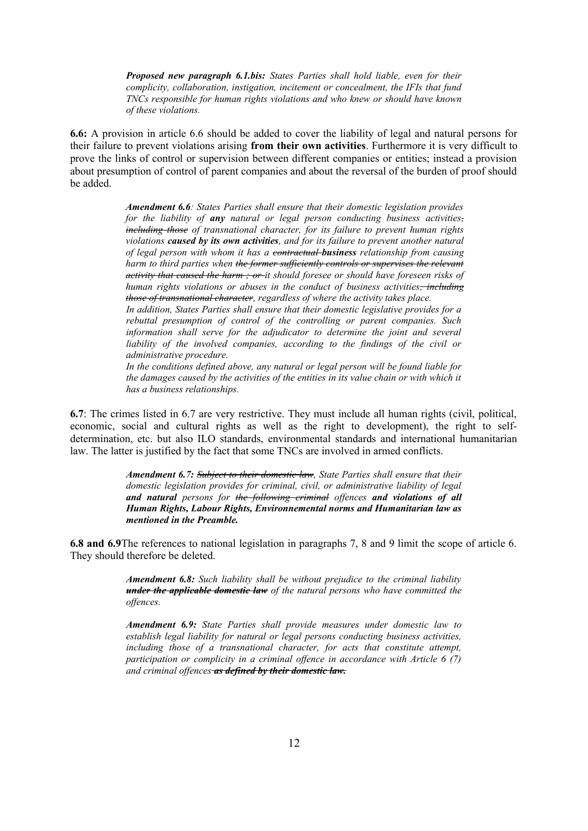*Proposed new paragraph 6.1.bis: States Parties shall hold liable, even for their complicity, collaboration, instigation, incitement or concealment, the IFIs that fund TNCs responsible for human rights violations and who knew or should have known of these violations.*

**6.6:** A provision in article 6.6 should be added to cover the liability of legal and natural persons for their failure to prevent violations arising **from their own activities**. Furthermore it is very difficult to prove the links of control or supervision between different companies or entities; instead a provision about presumption of control of parent companies and about the reversal of the burden of proof should be added.

> *Amendment 6.6: States Parties shall ensure that their domestic legislation provides for the liability of any natural or legal person conducting business activities, including those of transnational character, for its failure to prevent human rights violations caused by its own activities, and for its failure to prevent another natural of legal person with whom it has a contractual business relationship from causing harm to third parties when the former sufficiently controls or supervises the relevant activity that caused the harm ; or it should foresee or should have foreseen risks of human rights violations or abuses in the conduct of business activities, including those of transnational character, regardless of where the activity takes place. In addition, States Parties shall ensure that their domestic legislative provides for a rebuttal presumption of control of the controlling or parent companies. Such information shall serve for the adjudicator to determine the joint and several*

> *liability of the involved companies, according to the findings of the civil or administrative procedure.*

> *In the conditions defined above, any natural or legal person will be found liable for the damages caused by the activities of the entities in its value chain or with which it has a business relationships.*

**6.7**: The crimes listed in 6.7 are very restrictive. They must include all human rights (civil, political, economic, social and cultural rights as well as the right to development), the right to selfdetermination, etc. but also ILO standards, environmental standards and international humanitarian law. The latter is justified by the fact that some TNCs are involved in armed conflicts.

> *Amendment 6.7: Subject to their domestic law, State Parties shall ensure that their domestic legislation provides for criminal, civil, or administrative liability of legal and natural persons for the following criminal offences and violations of all Human Rights, Labour Rights, Environnemental norms and Humanitarian law as mentioned in the Preamble.*

**6.8 and 6.9**The references to national legislation in paragraphs 7, 8 and 9 limit the scope of article 6. They should therefore be deleted.

> *Amendment 6.8: Such liability shall be without prejudice to the criminal liability under the applicable domestic law of the natural persons who have committed the offences.*

> *Amendment 6.9: State Parties shall provide measures under domestic law to establish legal liability for natural or legal persons conducting business activities, including those of a transnational character, for acts that constitute attempt, participation or complicity in a criminal offence in accordance with Article 6 (7) and criminal offences as defined by their domestic law.*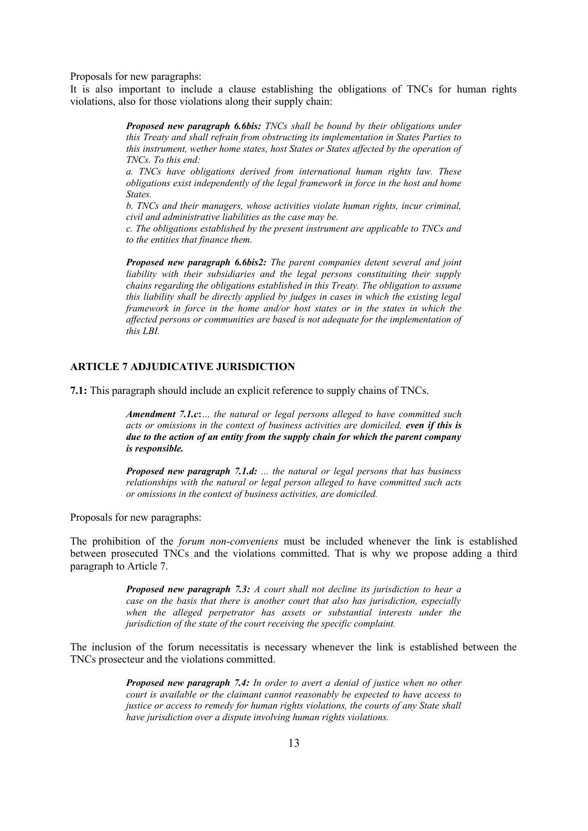Proposals for new paragraphs:

It is also important to include a clause establishing the obligations of TNCs for human rights violations, also for those violations along their supply chain:

> *Proposed new paragraph 6.6bis: TNCs shall be bound by their obligations under this Treaty and shall refrain from obstructing its implementation in States Parties to this instrument, wether home states, host States or States affected by the operation of TNCs. To this end:*

> *a. TNCs have obligations derived from international human rights law. These obligations exist independently of the legal framework in force in the host and home States.*

> *b. TNCs and their managers, whose activities violate human rights, incur criminal, civil and administrative liabilities as the case may be.*

> *c. The obligations established by the present instrument are applicable to TNCs and to the entities that finance them.*

> *Proposed new paragraph 6.6bis2: The parent companies detent several and joint liability with their subsidiaries and the legal persons constituiting their supply chains regarding the obligations established in this Treaty. The obligation to assume this liability shall be directly applied by judges in cases in which the existing legal framework in force in the home and/or host states or in the states in which the affected persons or communities are based is not adequate for the implementation of this LBI.*

## **ARTICLE 7 ADJUDICATIVE JURISDICTION**

**7.1:** This paragraph should include an explicit reference to supply chains of TNCs.

*Amendment 7.1.c***:***… the natural or legal persons alleged to have committed such acts or omissions in the context of business activities are domiciled, even if this is due to the action of an entity from the supply chain for which the parent company is responsible.*

*Proposed new paragraph 7.1.d: ... the natural or legal persons that has business relationships with the natural or legal person alleged to have committed such acts or omissions in the context of business activities, are domiciled.*

Proposals for new paragraphs:

The prohibition of the *forum non-conveniens* must be included whenever the link is established between prosecuted TNCs and the violations committed. That is why we propose adding a third paragraph to Article 7.

> *Proposed new paragraph 7.3: A court shall not decline its jurisdiction to hear a case on the basis that there is another court that also has jurisdiction, especially when the alleged perpetrator has assets or substantial interests under the jurisdiction of the state of the court receiving the specific complaint.*

The inclusion of the forum necessitatis is necessary whenever the link is established between the TNCs prosecteur and the violations committed.

> *Proposed new paragraph 7.4: In order to avert a denial of justice when no other court is available or the claimant cannot reasonably be expected to have access to justice or access to remedy for human rights violations, the courts of any State shall have jurisdiction over a dispute involving human rights violations.*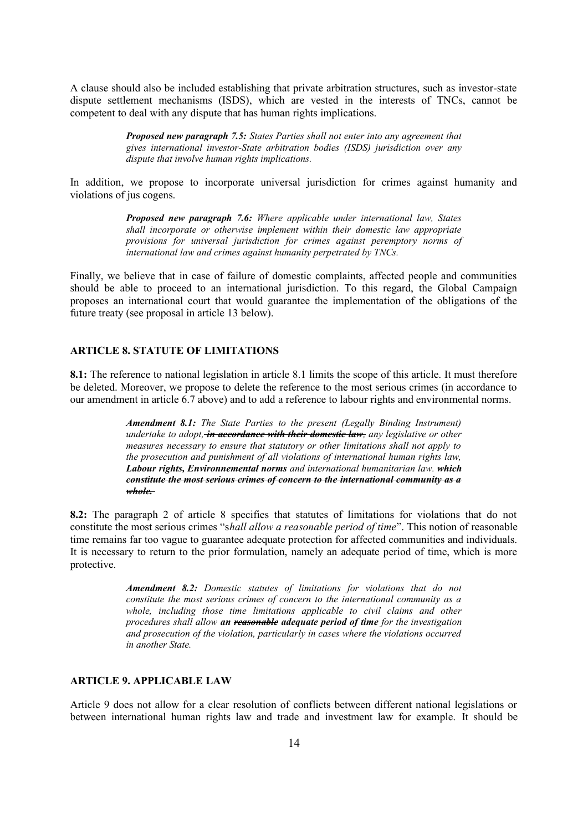A clause should also be included establishing that private arbitration structures, such as investor-state dispute settlement mechanisms (ISDS), which are vested in the interests of TNCs, cannot be competent to deal with any dispute that has human rights implications.

> *Proposed new paragraph 7.5: States Parties shall not enter into any agreement that gives international investor-State arbitration bodies (ISDS) jurisdiction over any dispute that involve human rights implications.*

In addition, we propose to incorporate universal jurisdiction for crimes against humanity and violations of jus cogens.

> *Proposed new paragraph 7.6: Where applicable under international law, States shall incorporate or otherwise implement within their domestic law appropriate provisions for universal jurisdiction for crimes against peremptory norms of international law and crimes against humanity perpetrated by TNCs.*

Finally, we believe that in case of failure of domestic complaints, affected people and communities should be able to proceed to an international jurisdiction. To this regard, the Global Campaign proposes an international court that would guarantee the implementation of the obligations of the future treaty (see proposal in article 13 below).

## **ARTICLE 8. STATUTE OF LIMITATIONS**

**8.1:** The reference to national legislation in article 8.1 limits the scope of this article. It must therefore be deleted. Moreover, we propose to delete the reference to the most serious crimes (in accordance to our amendment in article 6.7 above) and to add a reference to labour rights and environmental norms.

> *Amendment 8.1: The State Parties to the present (Legally Binding Instrument) undertake to adopt, in accordance with their domestic law, any legislative or other measures necessary to ensure that statutory or other limitations shall not apply to the prosecution and punishment of all violations of international human rights law, Labour rights, Environnemental norms and international humanitarian law. which constitute the most serious crimes of concern to the international community as a whole.*

**8.2:** The paragraph 2 of article 8 specifies that statutes of limitations for violations that do not constitute the most serious crimes "s*hall allow a reasonable period of time*". This notion of reasonable time remains far too vague to guarantee adequate protection for affected communities and individuals. It is necessary to return to the prior formulation, namely an adequate period of time, which is more protective.

> *Amendment 8.2: Domestic statutes of limitations for violations that do not constitute the most serious crimes of concern to the international community as a whole, including those time limitations applicable to civil claims and other procedures shall allow an reasonable adequate period of time for the investigation and prosecution of the violation, particularly in cases where the violations occurred in another State.*

## **ARTICLE 9. APPLICABLE LAW**

Article 9 does not allow for a clear resolution of conflicts between different national legislations or between international human rights law and trade and investment law for example. It should be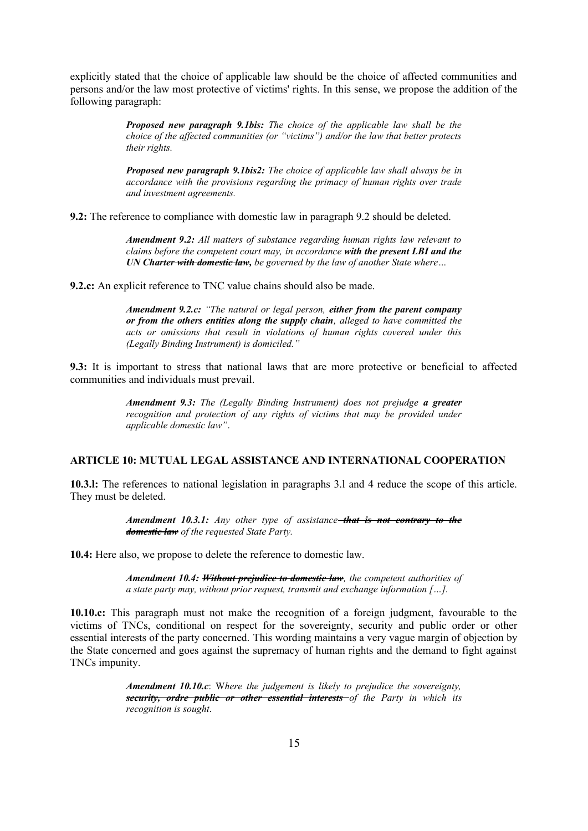explicitly stated that the choice of applicable law should be the choice of affected communities and persons and/or the law most protective of victims' rights. In this sense, we propose the addition of the following paragraph:

> *Proposed new paragraph 9.1bis: The choice of the applicable law shall be the choice of the affected communities (or "victims") and/or the law that better protects their rights.*

> *Proposed new paragraph 9.1bis2: The choice of applicable law shall always be in accordance with the provisions regarding the primacy of human rights over trade and investment agreements.*

**9.2:** The reference to compliance with domestic law in paragraph 9.2 should be deleted.

*Amendment 9***.***2: All matters of substance regarding human rights law relevant to claims before the competent court may, in accordance with the present LBI and the UN Charter with domestic law, be governed by the law of another State where…*

**9.2.c:** An explicit reference to TNC value chains should also be made.

*Amendment 9.2.c: "The natural or legal person, either from the parent company or from the others entities along the supply chain, alleged to have committed the acts or omissions that result in violations of human rights covered under this (Legally Binding Instrument) is domiciled."*

**9.3:** It is important to stress that national laws that are more protective or beneficial to affected communities and individuals must prevail.

> *Amendment 9.3: The (Legally Binding Instrument) does not prejudge a greater recognition and protection of any rights of victims that may be provided under applicable domestic law"*.

## **ARTICLE 10: MUTUAL LEGAL ASSISTANCE AND INTERNATIONAL COOPERATION**

**10.3.l:** The references to national legislation in paragraphs 3.l and 4 reduce the scope of this article. They must be deleted.

> *Amendment 10.3.1: Any other type of assistance that is not contrary to the domestic law of the requested State Party.*

**10.4:** Here also, we propose to delete the reference to domestic law.

*Amendment 10.4: Without prejudice to domestic law, the competent authorities of a state party may, without prior request, transmit and exchange information […].*

**10.10.c:** This paragraph must not make the recognition of a foreign judgment, favourable to the victims of TNCs, conditional on respect for the sovereignty, security and public order or other essential interests of the party concerned. This wording maintains a very vague margin of objection by the State concerned and goes against the supremacy of human rights and the demand to fight against TNCs impunity.

> *Amendment 10.10.c*: W*here the judgement is likely to prejudice the sovereignty, security, ordre public or other essential interests of the Party in which its recognition is sought*.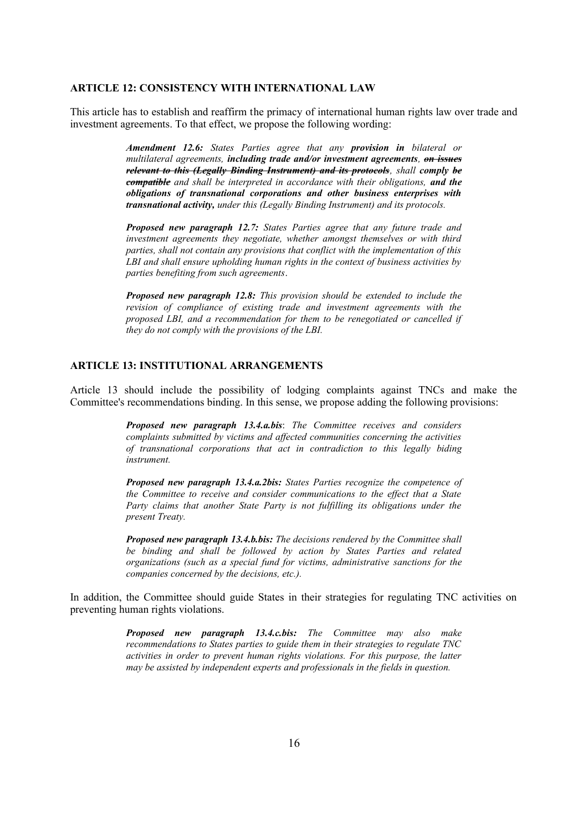#### **ARTICLE 12: CONSISTENCY WITH INTERNATIONAL LAW**

This article has to establish and reaffirm the primacy of international human rights law over trade and investment agreements. To that effect, we propose the following wording:

> *Amendment 12.6: States Parties agree that any provision in bilateral or multilateral agreements, including trade and/or investment agreements, on issues relevant to this (Legally Binding Instrument) and its protocols, shall comply be compatible and shall be interpreted in accordance with their obligations, and the obligations of transnational corporations and other business enterprises with transnational activity, under this (Legally Binding Instrument) and its protocols.*

> *Proposed new paragraph 12.7: States Parties agree that any future trade and investment agreements they negotiate, whether amongst themselves or with third parties, shall not contain any provisions that conflict with the implementation of this LBI and shall ensure upholding human rights in the context of business activities by parties benefiting from such agreements*.

> *Proposed new paragraph 12.8: This provision should be extended to include the revision of compliance of existing trade and investment agreements with the proposed LBI, and a recommendation for them to be renegotiated or cancelled if they do not comply with the provisions of the LBI.*

### **ARTICLE 13: INSTITUTIONAL ARRANGEMENTS**

Article 13 should include the possibility of lodging complaints against TNCs and make the Committee's recommendations binding. In this sense, we propose adding the following provisions:

> *Proposed new paragraph 13.4.a.bis*: *The Committee receives and considers complaints submitted by victims and affected communities concerning the activities of transnational corporations that act in contradiction to this legally biding instrument.*

> *Proposed new paragraph 13.4.a.2bis: States Parties recognize the competence of the Committee to receive and consider communications to the effect that a State Party claims that another State Party is not fulfilling its obligations under the present Treaty.*

> *Proposed new paragraph 13.4.b.bis: The decisions rendered by the Committee shall be binding and shall be followed by action by States Parties and related organizations (such as a special fund for victims, administrative sanctions for the companies concerned by the decisions, etc.).*

In addition, the Committee should guide States in their strategies for regulating TNC activities on preventing human rights violations.

> *Proposed new paragraph 13.4.c.bis: The Committee may also make recommendations to States parties to guide them in their strategies to regulate TNC activities in order to prevent human rights violations. For this purpose, the latter may be assisted by independent experts and professionals in the fields in question.*